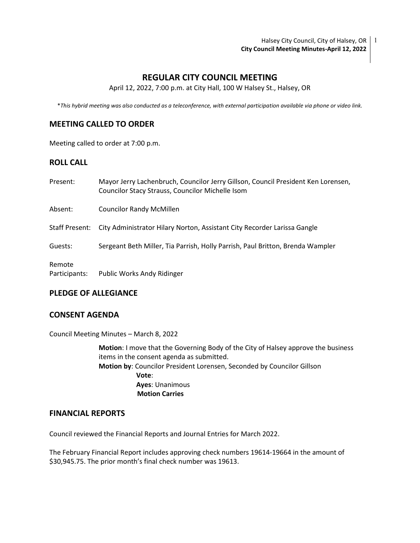Halsey City Council, City of Halsey, OR | 1 **City Council Meeting Minutes-April 12, 2022**

## **REGULAR CITY COUNCIL MEETING**

April 12, 2022, 7:00 p.m. at City Hall, 100 W Halsey St., Halsey, OR

\**This hybrid meeting was also conducted as a teleconference, with external participation available via phone or video link.*

## **MEETING CALLED TO ORDER**

Meeting called to order at 7:00 p.m.

## **ROLL CALL**

| Present:                | Mayor Jerry Lachenbruch, Councilor Jerry Gillson, Council President Ken Lorensen,<br>Councilor Stacy Strauss, Councilor Michelle Isom |
|-------------------------|---------------------------------------------------------------------------------------------------------------------------------------|
| Absent:                 | <b>Councilor Randy McMillen</b>                                                                                                       |
| Staff Present:          | City Administrator Hilary Norton, Assistant City Recorder Larissa Gangle                                                              |
| Guests:                 | Sergeant Beth Miller, Tia Parrish, Holly Parrish, Paul Britton, Brenda Wampler                                                        |
| Remote<br>Participants: | Public Works Andy Ridinger                                                                                                            |

### **PLEDGE OF ALLEGIANCE**

#### **CONSENT AGENDA**

Council Meeting Minutes – March 8, 2022

**Motion**: I move that the Governing Body of the City of Halsey approve the business items in the consent agenda as submitted. **Motion by**: Councilor President Lorensen, Seconded by Councilor Gillson **Vote**: **Ayes**: Unanimous  **Motion Carries**

#### **FINANCIAL REPORTS**

Council reviewed the Financial Reports and Journal Entries for March 2022.

The February Financial Report includes approving check numbers 19614-19664 in the amount of \$30,945.75. The prior month's final check number was 19613.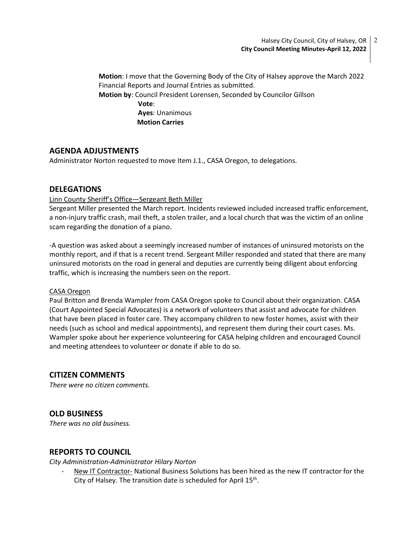**Motion**: I move that the Governing Body of the City of Halsey approve the March 2022 Financial Reports and Journal Entries as submitted. **Motion by**: Council President Lorensen, Seconded by Councilor Gillson **Vote**:

> **Ayes**: Unanimous  **Motion Carries**

# **AGENDA ADJUSTMENTS**

Administrator Norton requested to move Item J.1., CASA Oregon, to delegations.

## **DELEGATIONS**

### Linn County Sheriff's Office—Sergeant Beth Miller

Sergeant Miller presented the March report. Incidents reviewed included increased traffic enforcement, a non-injury traffic crash, mail theft, a stolen trailer, and a local church that was the victim of an online scam regarding the donation of a piano.

-A question was asked about a seemingly increased number of instances of uninsured motorists on the monthly report, and if that is a recent trend. Sergeant Miller responded and stated that there are many uninsured motorists on the road in general and deputies are currently being diligent about enforcing traffic, which is increasing the numbers seen on the report.

### CASA Oregon

Paul Britton and Brenda Wampler from CASA Oregon spoke to Council about their organization. CASA (Court Appointed Special Advocates) is a network of volunteers that assist and advocate for children that have been placed in foster care. They accompany children to new foster homes, assist with their needs (such as school and medical appointments), and represent them during their court cases. Ms. Wampler spoke about her experience volunteering for CASA helping children and encouraged Council and meeting attendees to volunteer or donate if able to do so.

# **CITIZEN COMMENTS**

*There were no citizen comments.*

# **OLD BUSINESS**

*There was no old business.*

## **REPORTS TO COUNCIL**

*City Administration-Administrator Hilary Norton*

New IT Contractor- National Business Solutions has been hired as the new IT contractor for the City of Halsey. The transition date is scheduled for April 15<sup>th</sup>.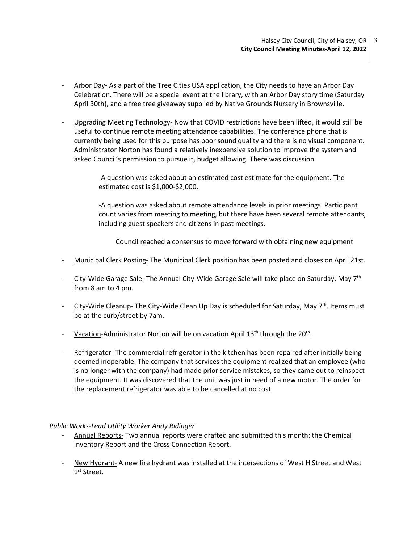- Arbor Day- As a part of the Tree Cities USA application, the City needs to have an Arbor Day Celebration. There will be a special event at the library, with an Arbor Day story time (Saturday April 30th), and a free tree giveaway supplied by Native Grounds Nursery in Brownsville.
- Upgrading Meeting Technology- Now that COVID restrictions have been lifted, it would still be useful to continue remote meeting attendance capabilities. The conference phone that is currently being used for this purpose has poor sound quality and there is no visual component. Administrator Norton has found a relatively inexpensive solution to improve the system and asked Council's permission to pursue it, budget allowing. There was discussion.

-A question was asked about an estimated cost estimate for the equipment. The estimated cost is \$1,000-\$2,000.

-A question was asked about remote attendance levels in prior meetings. Participant count varies from meeting to meeting, but there have been several remote attendants, including guest speakers and citizens in past meetings.

Council reached a consensus to move forward with obtaining new equipment

- Municipal Clerk Posting- The Municipal Clerk position has been posted and closes on April 21st.
- City-Wide Garage Sale- The Annual City-Wide Garage Sale will take place on Saturday, May 7<sup>th</sup> from 8 am to 4 pm.
- City-Wide Cleanup- The City-Wide Clean Up Day is scheduled for Saturday, May  $7<sup>th</sup>$ . Items must be at the curb/street by 7am.
- Vacation-Administrator Norton will be on vacation April 13<sup>th</sup> through the 20<sup>th</sup>.
- Refrigerator- The commercial refrigerator in the kitchen has been repaired after initially being deemed inoperable. The company that services the equipment realized that an employee (who is no longer with the company) had made prior service mistakes, so they came out to reinspect the equipment. It was discovered that the unit was just in need of a new motor. The order for the replacement refrigerator was able to be cancelled at no cost.

### *Public Works-Lead Utility Worker Andy Ridinger*

- Annual Reports- Two annual reports were drafted and submitted this month: the Chemical Inventory Report and the Cross Connection Report.
- New Hydrant- A new fire hydrant was installed at the intersections of West H Street and West 1<sup>st</sup> Street.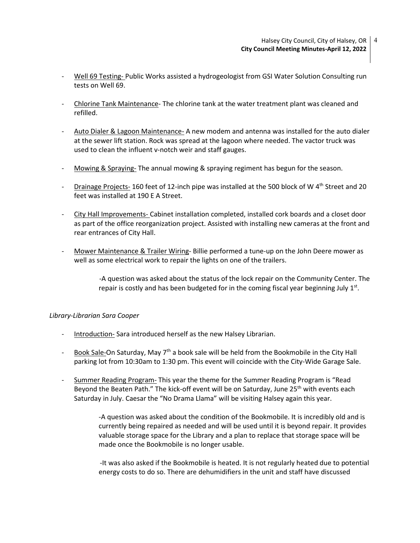- Well 69 Testing- Public Works assisted a hydrogeologist from GSI Water Solution Consulting run tests on Well 69.
- Chlorine Tank Maintenance- The chlorine tank at the water treatment plant was cleaned and refilled.
- Auto Dialer & Lagoon Maintenance- A new modem and antenna was installed for the auto dialer at the sewer lift station. Rock was spread at the lagoon where needed. The vactor truck was used to clean the influent v-notch weir and staff gauges.
- Mowing & Spraying- The annual mowing & spraying regiment has begun for the season.
- Drainage Projects- 160 feet of 12-inch pipe was installed at the 500 block of W  $4<sup>th</sup>$  Street and 20 feet was installed at 190 E A Street.
- City Hall Improvements- Cabinet installation completed, installed cork boards and a closet door as part of the office reorganization project. Assisted with installing new cameras at the front and rear entrances of City Hall.
- Mower Maintenance & Trailer Wiring- Billie performed a tune-up on the John Deere mower as well as some electrical work to repair the lights on one of the trailers.

 -A question was asked about the status of the lock repair on the Community Center. The repair is costly and has been budgeted for in the coming fiscal year beginning July 1<sup>st</sup>.

### *Library-Librarian Sara Cooper*

- Introduction- Sara introduced herself as the new Halsey Librarian.
- Book Sale-On Saturday, May  $7<sup>th</sup>$  a book sale will be held from the Bookmobile in the City Hall parking lot from 10:30am to 1:30 pm. This event will coincide with the City-Wide Garage Sale.
- Summer Reading Program- This year the theme for the Summer Reading Program is "Read Beyond the Beaten Path." The kick-off event will be on Saturday, June 25<sup>th</sup> with events each Saturday in July. Caesar the "No Drama Llama" will be visiting Halsey again this year.

-A question was asked about the condition of the Bookmobile. It is incredibly old and is currently being repaired as needed and will be used until it is beyond repair. It provides valuable storage space for the Library and a plan to replace that storage space will be made once the Bookmobile is no longer usable.

 -It was also asked if the Bookmobile is heated. It is not regularly heated due to potential energy costs to do so. There are dehumidifiers in the unit and staff have discussed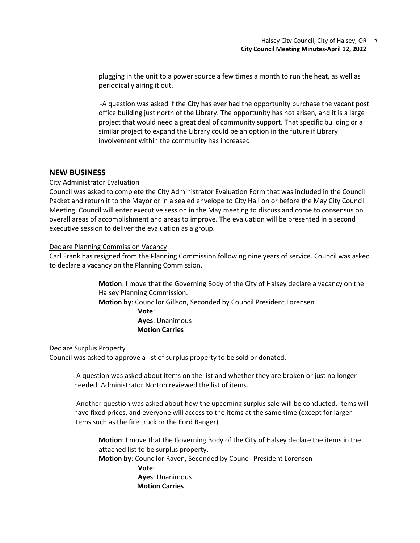plugging in the unit to a power source a few times a month to run the heat, as well as periodically airing it out.

 -A question was asked if the City has ever had the opportunity purchase the vacant post office building just north of the Library. The opportunity has not arisen, and it is a large project that would need a great deal of community support. That specific building or a similar project to expand the Library could be an option in the future if Library involvement within the community has increased.

### **NEW BUSINESS**

### City Administrator Evaluation

Council was asked to complete the City Administrator Evaluation Form that was included in the Council Packet and return it to the Mayor or in a sealed envelope to City Hall on or before the May City Council Meeting. Council will enter executive session in the May meeting to discuss and come to consensus on overall areas of accomplishment and areas to improve. The evaluation will be presented in a second executive session to deliver the evaluation as a group.

#### Declare Planning Commission Vacancy

Carl Frank has resigned from the Planning Commission following nine years of service. Council was asked to declare a vacancy on the Planning Commission.

> **Motion**: I move that the Governing Body of the City of Halsey declare a vacancy on the Halsey Planning Commission.

**Motion by**: Councilor Gillson, Seconded by Council President Lorensen

 **Vote**: **Ayes**: Unanimous  **Motion Carries**

### Declare Surplus Property

Council was asked to approve a list of surplus property to be sold or donated.

-A question was asked about items on the list and whether they are broken or just no longer needed. Administrator Norton reviewed the list of items.

-Another question was asked about how the upcoming surplus sale will be conducted. Items will have fixed prices, and everyone will access to the items at the same time (except for larger items such as the fire truck or the Ford Ranger).

**Motion**: I move that the Governing Body of the City of Halsey declare the items in the attached list to be surplus property. **Motion by**: Councilor Raven, Seconded by Council President Lorensen **Vote**: **Ayes**: Unanimous  **Motion Carries**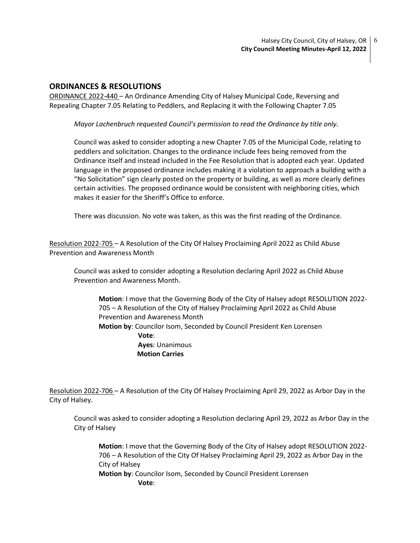## **ORDINANCES & RESOLUTIONS**

ORDINANCE 2022-440 – An Ordinance Amending City of Halsey Municipal Code, Reversing and Repealing Chapter 7.05 Relating to Peddlers, and Replacing it with the Following Chapter 7.05

*Mayor Lachenbruch requested Council's permission to read the Ordinance by title only.* 

Council was asked to consider adopting a new Chapter 7.05 of the Municipal Code, relating to peddlers and solicitation. Changes to the ordinance include fees being removed from the Ordinance itself and instead included in the Fee Resolution that is adopted each year. Updated language in the proposed ordinance includes making it a violation to approach a building with a "No Solicitation" sign clearly posted on the property or building, as well as more clearly defines certain activities. The proposed ordinance would be consistent with neighboring cities, which makes it easier for the Sheriff's Office to enforce.

There was discussion. No vote was taken, as this was the first reading of the Ordinance.

Resolution 2022-705 – A Resolution of the City Of Halsey Proclaiming April 2022 as Child Abuse Prevention and Awareness Month

Council was asked to consider adopting a Resolution declaring April 2022 as Child Abuse Prevention and Awareness Month.

**Motion**: I move that the Governing Body of the City of Halsey adopt RESOLUTION 2022- 705 – A Resolution of the City of Halsey Proclaiming April 2022 as Child Abuse Prevention and Awareness Month **Motion by**: Councilor Isom, Seconded by Council President Ken Lorensen **Vote**: **Ayes**: Unanimous  **Motion Carries**

Resolution 2022-706 – A Resolution of the City Of Halsey Proclaiming April 29, 2022 as Arbor Day in the City of Halsey.

Council was asked to consider adopting a Resolution declaring April 29, 2022 as Arbor Day in the City of Halsey

**Motion**: I move that the Governing Body of the City of Halsey adopt RESOLUTION 2022- 706 – A Resolution of the City Of Halsey Proclaiming April 29, 2022 as Arbor Day in the City of Halsey

**Motion by**: Councilor Isom, Seconded by Council President Lorensen **Vote**: